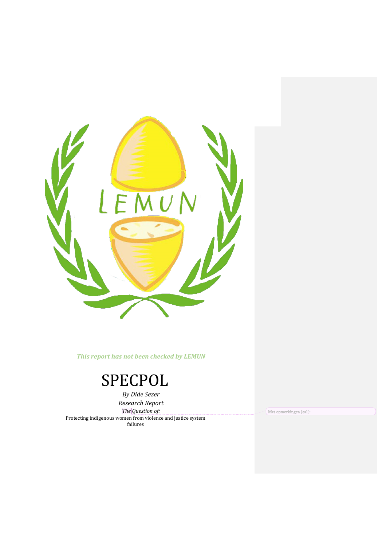

This report has not been checked by LEMUN

# SPECPOL

*By Dide Sezer Research Report The Question of:* Protecting indigenous women from violence and justice system failures

Met opmerkingen [es1]: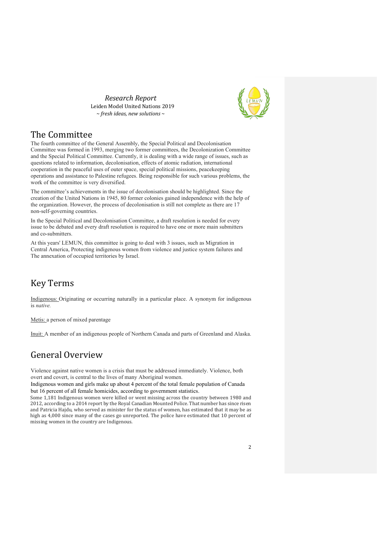*Research Report*  Leiden Model United Nations 2019 *~ fresh ideas, new solutions ~* 



#### The Committee

The fourth committee of the General Assembly, the Special Political and Decolonisation Committee was formed in 1993, merging two former committees, the Decolonization Committee and the Special Political Committee. Currently, it is dealing with a wide range of issues, such as questions related to information, decolonisation, effects of atomic radiation, international cooperation in the peaceful uses of outer space, special political missions, peacekeeping operations and assistance to Palestine refugees. Being responsible for such various problems, the work of the committee is very diversified.

The committee's achievements in the issue of decolonisation should be highlighted. Since the creation of the United Nations in 1945, 80 former colonies gained independence with the help of the organization. However, the process of decolonisation is still not complete as there are 17 non-self-governing countries.

In the Special Political and Decolonisation Committee, a draft resolution is needed for every issue to be debated and every draft resolution is required to have one or more main submitters and co-submitters.

At this years' LEMUN, this committee is going to deal with 3 issues, such as Migration in Central America, Protecting indigenous women from violence and justice system failures and The annexation of occupied territories by Israel.

# Key Terms

Indigenous: Originating or occurring naturally in a particular place. A synonym for indigenous is *native.*

Metis: a person of mixed parentage

Inuit: A member of an indigenous people of Northern Canada and parts of Greenland and Alaska.

# General Overview

Violence against native women is a crisis that must be addressed immediately. Violence, both overt and covert, is central to the lives of many Aboriginal women.

Indigenous women and girls make up about 4 percent of the total female population of Canada but 16 percent of all female homicides, according to government statistics.

Some 1,181 Indigenous women were killed or went missing across the country between 1980 and 2012, according to a 2014 report by the Royal Canadian Mounted Police. That number has since risen and Patricia Hajdu, who served as minister for the status of women, has estimated that it may be as high as 4,000 since many of the cases go unreported. The police have estimated that 10 percent of missing women in the country are Indigenous.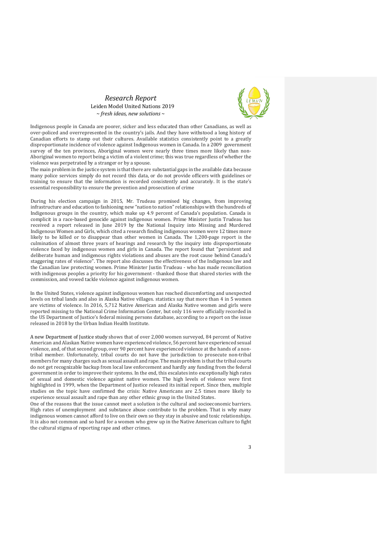*Research Report*  Leiden Model United Nations 2019 *~ fresh ideas, new solutions ~* 



Indigenous people in Canada are poorer, sicker and less educated than other Canadians, as well as over-policed and overrepresented in the country's jails. And they have withstood a long history of Canadian efforts to stamp out their cultures. Available statistics consistently point to a greatly disproportionate incidence of violence against Indigenous women in Canada. In a 2009 government survey of the ten provinces, Aboriginal women were nearly three times more likely than non-Aboriginal women to report being a victim of a violent crime; this was true regardless of whether the violence was perpetrated by a stranger or by a spouse.

The main problem in the justice system is that there are substantial gaps in the available data because many police services simply do not record this data, or do not provide officers with guidelines or training to ensure that the information is recorded consistently and accurately. It is the state's essential responsibility to ensure the prevention and prosecution of crime

During his election campaign in 2015, Mr. Trudeau promised big changes, from improving infrastructure and education to fashioning new "nation to nation" relationships with the hundreds of Indigenous groups in the country, which make up 4.9 percent of Canada's population. Canada is complicit in a race-based genocide against indigenous women. Prime Minister Justin Trudeau has received a report released in June 2019 by the National Inquiry into Missing and Murdered Indigenous Women and Girls, which cited a research finding indigenous women were 12 times more likely to be killed or to disappear than other women in Canada. The 1,200-page report is the culmination of almost three years of hearings and research by the inquiry into disproportionate violence faced by indigenous women and girls in Canada. The report found that "persistent and deliberate human and indigenous rights violations and abuses are the root cause behind Canada's staggering rates of violence". The report also discusses the effectiveness of the Indigenous law and the Canadian law protecting women. Prime Minister Justin Trudeau - who has made reconciliation with indigenous peoples a priority for his government - thanked those that shared stories with the commission, and vowed tackle violence against indigenous women.

In the United States, violence against indigenous women has reached discomforting and unexpected levels on tribal lands and also in Alaska Native villages. statistics say that more than 4 in 5 women are victims of violence. In 2016, 5,712 Native American and Alaska Native women and girls were reported missing to the National Crime Information Center, but only 116 were officially recorded in the US Department of Justice's federal missing persons database, according to a report on the issue released in 2018 by the Urban Indian Health Institute.

A new Department of Justice study shows that of over 2,000 women surveyed, 84 percent of Native American and Alaskan Native women have experienced violence, 56 percent have experienced sexual violence, and, of that second group, over 90 percent have experienced violence at the hands of a nontribal member. Unfortunately, tribal courts do not have the jurisdiction to prosecute non-tribal members for many charges such as sexual assault and rape. The main problem is that the tribal courts do not get recognizable backup from local law enforcement and hardly any funding from the federal government in order to improve their systems. In the end, this escalates into exceptionally high rates of sexual and domestic violence against native women. The high levels of violence were first highlighted in 1999, when the Department of Justice released its initial report. Since then, multiple studies on the topic have confirmed the crisis: Native Americans are 2.5 times more likely to experience sexual assault and rape than any other ethnic group in the United States.

One of the reasons that the issue cannot meet a solution is the cultural and socioeconomic barriers. High rates of unemployment and substance abuse contribute to the problem. That is why many indigenous women cannot afford to live on their own so they stay in abusive and toxic relationships. It is also not common and so hard for a women who grew up in the Native American culture to fight the cultural stigma of reporting rape and other crimes.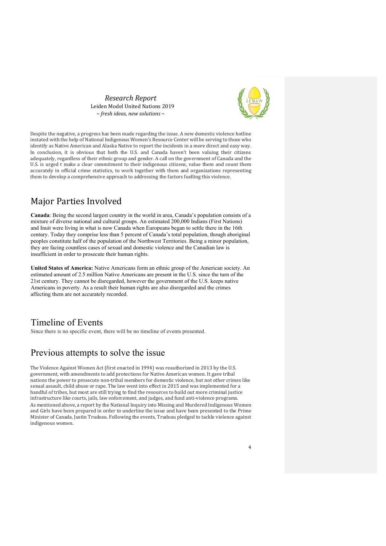*Research Report*  Leiden Model United Nations 2019 *~ fresh ideas, new solutions ~* 



Despite the negative, a progress has been made regarding the issue. A new domestic violence hotline instated with the help of National Indigenous Women's Resource Center will be serving to those who identify as Native American and Alaska Native to report the incidents in a more direct and easy way. In conclusion, it is obvious that both the U.S. and Canada haven't been valuing their citizens adequately, regardless of their ethnic group and gender. A call on the government of Canada and the U.S. is urged t make a clear commitment to their indigenous citizens, value them and count them accurately in official crime statistics, to work together with them and organizations representing them to develop a comprehensive approach to addressing the factors fuelling this violence.

# Major Parties Involved

**Canada**: Being the second largest country in the world in area, Canada's population consists of a mixture of diverse national and cultural groups. An estimated 200,000 Indians (First Nations) and Inuit were living in what is now Canada when Europeans began to settle there in the 16th century. Today they comprise less than 5 percent of Canada's total population, though aboriginal peoples constitute half of the population of the Northwest Territories. Being a minor population, they are facing countless cases of sexual and domestic violence and the Canadian law is insufficient in order to prosecute their human rights.

**United States of America:** Native Americans form an ethnic group of the American society. An estimated amount of 2.5 million Native Americans are present in the U.S. since the turn of the 21st century. They cannot be disregarded, however the government of the U.S. keeps native Americans in poverty. As a result their human rights are also disregarded and the crimes affecting them are not accurately recorded.

#### Timeline of Events

Since there is no specific event, there will be no timeline of events presented.

#### Previous attempts to solve the issue

The Violence Against Women Act (first enacted in 1994) was reauthorized in 2013 by the U.S. government, with amendments to add protections for Native American women. It gave tribal nations the power to prosecute non-tribal members for domestic violence, but not other crimes like sexual assault, child abuse or rape. The law went into effect in 2015 and was implemented for a handful of tribes, but most are still trying to find the resources to build out more criminal justice infrastructure like courts, jails, law enforcement, and judges, and fund anti-violence programs. As mentioned above, a report by the National Inquiry into Missing and Murdered Indigenous Women and Girls have been prepared in order to underline the issue and have been presented to the Prime Minister of Canada, Justin Trudeau. Following the events, Trudeau pledged to tackle violence against indigenous women.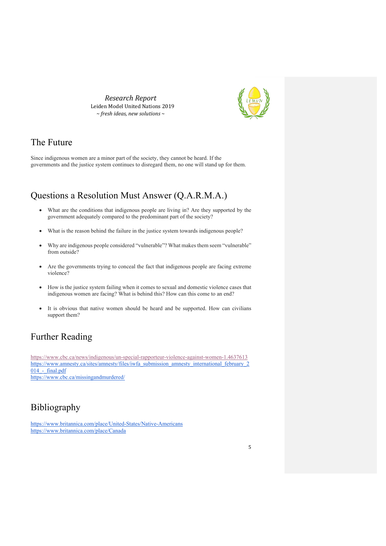*Research Report*  Leiden Model United Nations 2019 *~ fresh ideas, new solutions ~* 



### The Future

Since indigenous women are a minor part of the society, they cannot be heard. If the governments and the justice system continues to disregard them, no one will stand up for them.

# Questions a Resolution Must Answer (Q.A.R.M.A.)

- What are the conditions that indigenous people are living in? Are they supported by the government adequately compared to the predominant part of the society?
- What is the reason behind the failure in the justice system towards indigenous people?
- Why are indigenous people considered "vulnerable"? What makes them seem "vulnerable" from outside?
- Are the governments trying to conceal the fact that indigenous people are facing extreme violence?
- How is the justice system failing when it comes to sexual and domestic violence cases that indigenous women are facing? What is behind this? How can this come to an end?
- It is obvious that native women should be heard and be supported. How can civilians support them?

# Further Reading

https://www.cbc.ca/news/indigenous/un-special-rapporteur-violence-against-women-1.4637613 https://www.amnesty.ca/sites/amnesty/files/iwfa\_submission\_amnesty\_international\_february\_2  $014$  - final.pdf https://www.cbc.ca/missingandmurdered/

Bibliography

https://www.britannica.com/place/United-States/Native-Americans https://www.britannica.com/place/Canada